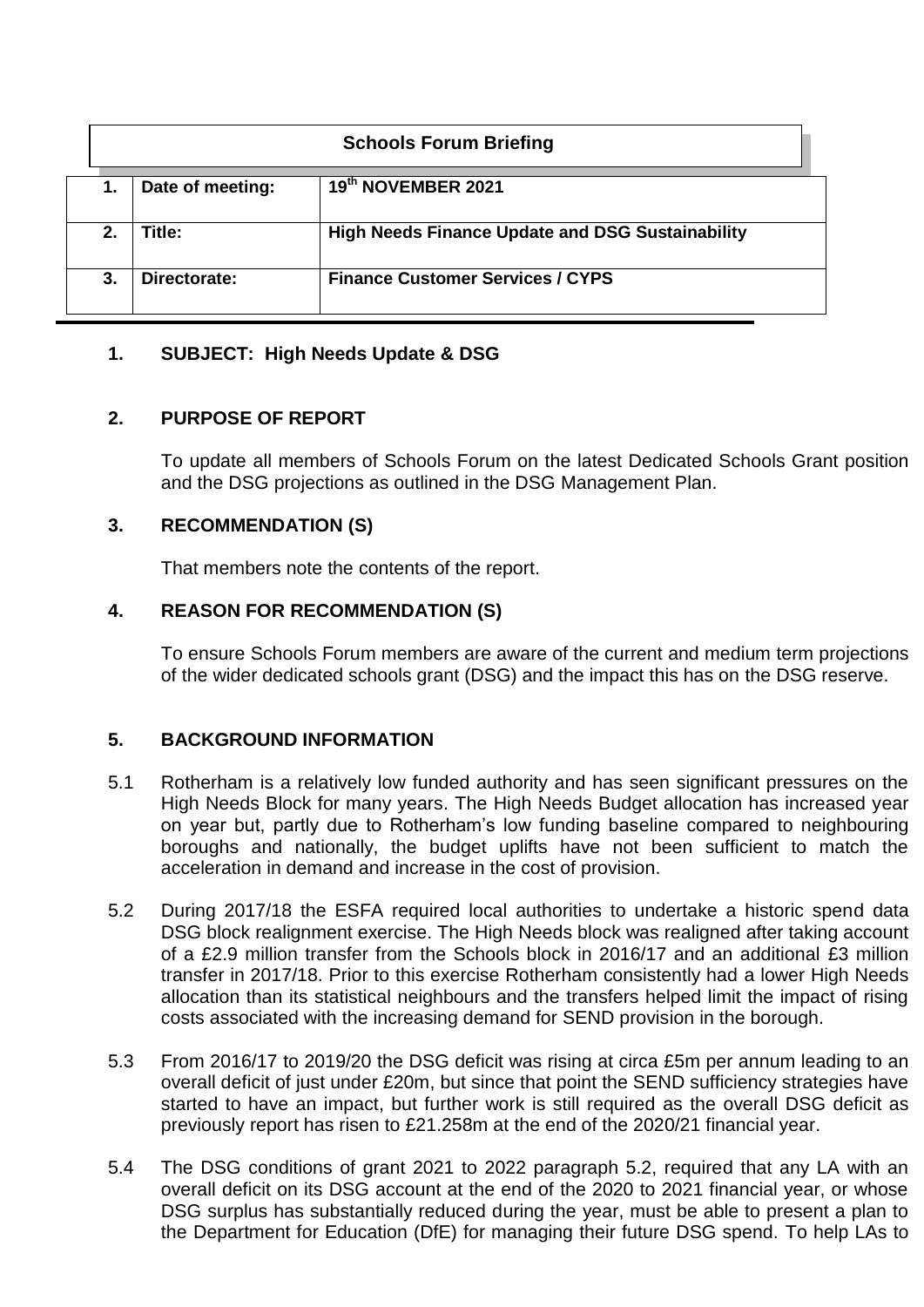| <b>Schools Forum Briefing</b> |                  |                                                         |  |  |  |  |  |  |  |
|-------------------------------|------------------|---------------------------------------------------------|--|--|--|--|--|--|--|
| 1.                            | Date of meeting: | 19th NOVEMBER 2021                                      |  |  |  |  |  |  |  |
| 2.                            | Title:           | <b>High Needs Finance Update and DSG Sustainability</b> |  |  |  |  |  |  |  |
| 3.                            | Directorate:     | <b>Finance Customer Services / CYPS</b>                 |  |  |  |  |  |  |  |

# **1. SUBJECT: High Needs Update & DSG**

# **2. PURPOSE OF REPORT**

To update all members of Schools Forum on the latest Dedicated Schools Grant position and the DSG projections as outlined in the DSG Management Plan.

# **3. RECOMMENDATION (S)**

That members note the contents of the report.

## **4. REASON FOR RECOMMENDATION (S)**

To ensure Schools Forum members are aware of the current and medium term projections of the wider dedicated schools grant (DSG) and the impact this has on the DSG reserve.

## **5. BACKGROUND INFORMATION**

- 5.1 Rotherham is a relatively low funded authority and has seen significant pressures on the High Needs Block for many years. The High Needs Budget allocation has increased year on year but, partly due to Rotherham's low funding baseline compared to neighbouring boroughs and nationally, the budget uplifts have not been sufficient to match the acceleration in demand and increase in the cost of provision.
- 5.2 During 2017/18 the ESFA required local authorities to undertake a historic spend data DSG block realignment exercise. The High Needs block was realigned after taking account of a £2.9 million transfer from the Schools block in 2016/17 and an additional £3 million transfer in 2017/18. Prior to this exercise Rotherham consistently had a lower High Needs allocation than its statistical neighbours and the transfers helped limit the impact of rising costs associated with the increasing demand for SEND provision in the borough.
- 5.3 From 2016/17 to 2019/20 the DSG deficit was rising at circa £5m per annum leading to an overall deficit of just under £20m, but since that point the SEND sufficiency strategies have started to have an impact, but further work is still required as the overall DSG deficit as previously report has risen to £21.258m at the end of the 2020/21 financial year.
- 5.4 The DSG conditions of grant 2021 to 2022 paragraph 5.2, required that any LA with an overall deficit on its DSG account at the end of the 2020 to 2021 financial year, or whose DSG surplus has substantially reduced during the year, must be able to present a plan to the Department for Education (DfE) for managing their future DSG spend. To help LAs to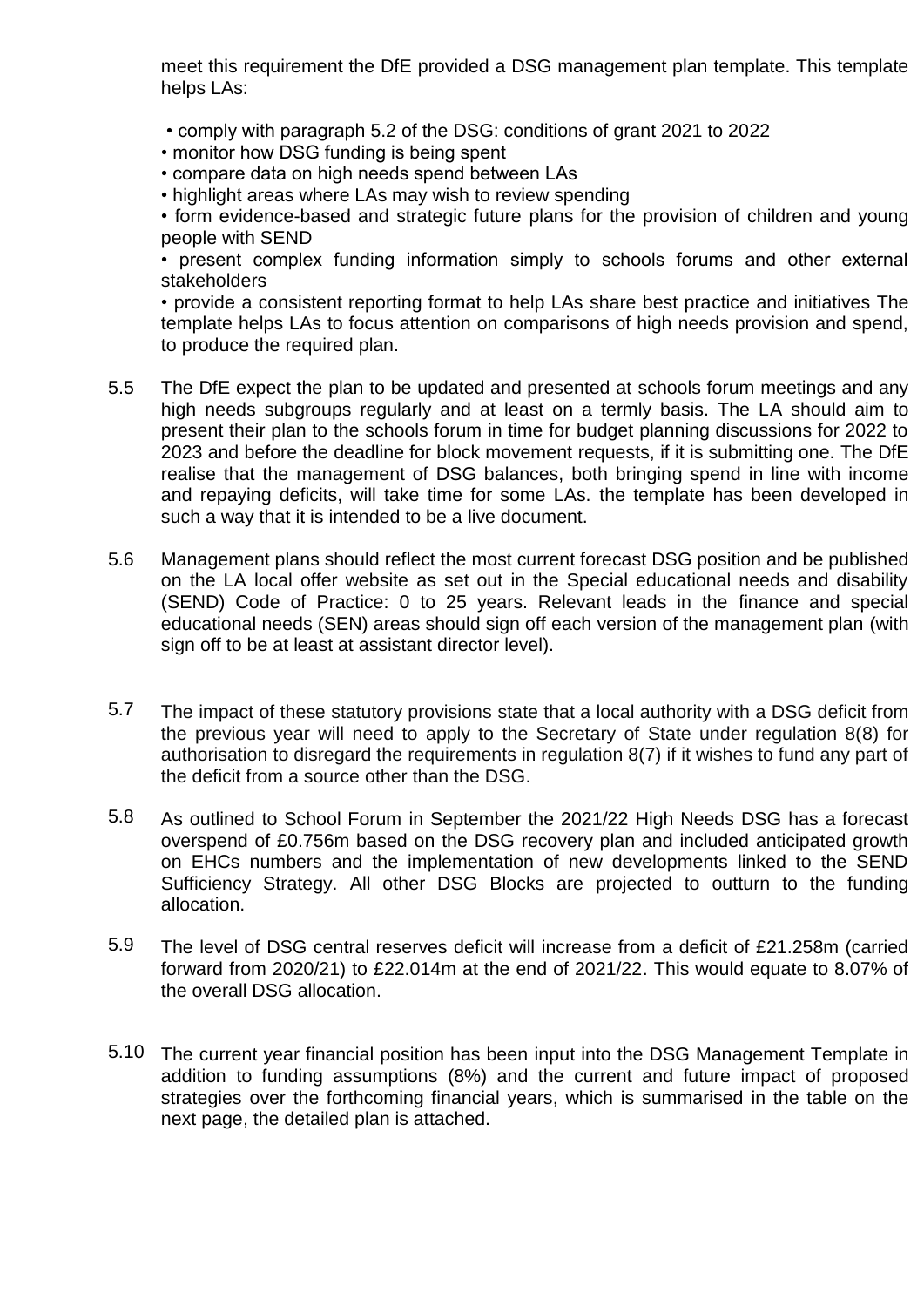meet this requirement the DfE provided a DSG management plan template. This template helps LAs:

- comply with paragraph 5.2 of the DSG: conditions of grant 2021 to 2022
- monitor how DSG funding is being spent
- compare data on high needs spend between LAs
- highlight areas where LAs may wish to review spending

• form evidence-based and strategic future plans for the provision of children and young people with SEND

• present complex funding information simply to schools forums and other external stakeholders

• provide a consistent reporting format to help LAs share best practice and initiatives The template helps LAs to focus attention on comparisons of high needs provision and spend, to produce the required plan.

- 5.5 The DfE expect the plan to be updated and presented at schools forum meetings and any high needs subgroups regularly and at least on a termly basis. The LA should aim to present their plan to the schools forum in time for budget planning discussions for 2022 to 2023 and before the deadline for block movement requests, if it is submitting one. The DfE realise that the management of DSG balances, both bringing spend in line with income and repaying deficits, will take time for some LAs. the template has been developed in such a way that it is intended to be a live document.
- 5.6 Management plans should reflect the most current forecast DSG position and be published on the LA local offer website as set out in the Special educational needs and disability (SEND) Code of Practice: 0 to 25 years. Relevant leads in the finance and special educational needs (SEN) areas should sign off each version of the management plan (with sign off to be at least at assistant director level).
- 5.7 The impact of these statutory provisions state that a local authority with a DSG deficit from the previous year will need to apply to the Secretary of State under regulation 8(8) for authorisation to disregard the requirements in regulation 8(7) if it wishes to fund any part of the deficit from a source other than the DSG.
- 5.8 As outlined to School Forum in September the 2021/22 High Needs DSG has a forecast overspend of £0.756m based on the DSG recovery plan and included anticipated growth on EHCs numbers and the implementation of new developments linked to the SEND Sufficiency Strategy. All other DSG Blocks are projected to outturn to the funding allocation.
- 5.9 The level of DSG central reserves deficit will increase from a deficit of £21.258m (carried forward from 2020/21) to £22.014m at the end of 2021/22. This would equate to 8.07% of the overall DSG allocation.
- 5.10 The current year financial position has been input into the DSG Management Template in addition to funding assumptions (8%) and the current and future impact of proposed strategies over the forthcoming financial years, which is summarised in the table on the next page, the detailed plan is attached.